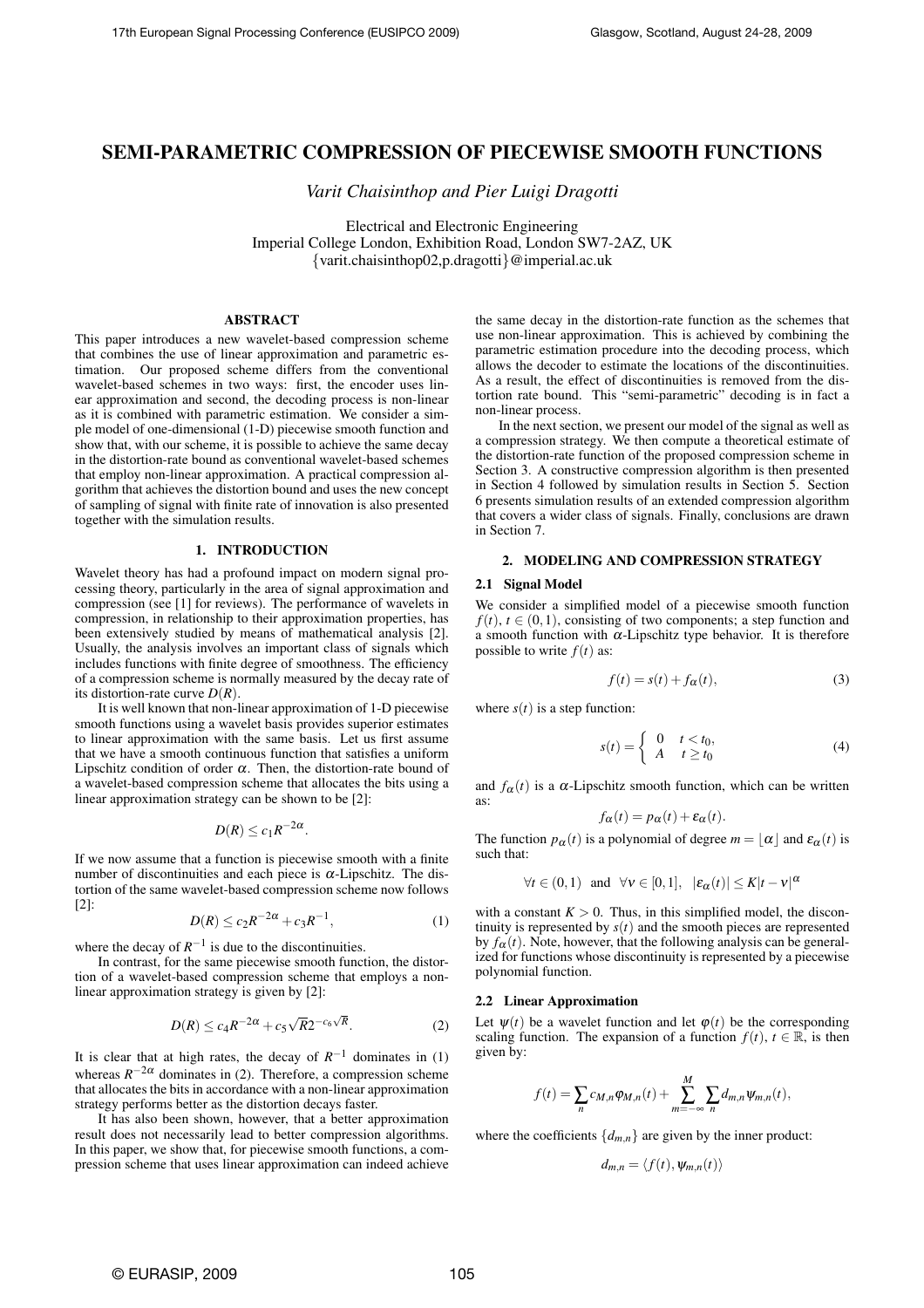# SEMI-PARAMETRIC COMPRESSION OF PIECEWISE SMOOTH FUNCTIONS

*Varit Chaisinthop and Pier Luigi Dragotti*

Electrical and Electronic Engineering Imperial College London, Exhibition Road, London SW7-2AZ, UK {varit.chaisinthop02,p.dragotti}@imperial.ac.uk

# **ABSTRACT**

This paper introduces a new wavelet-based compression scheme that combines the use of linear approximation and parametric estimation. Our proposed scheme differs from the conventional wavelet-based schemes in two ways: first, the encoder uses linear approximation and second, the decoding process is non-linear as it is combined with parametric estimation. We consider a simple model of one-dimensional (1-D) piecewise smooth function and show that, with our scheme, it is possible to achieve the same decay in the distortion-rate bound as conventional wavelet-based schemes that employ non-linear approximation. A practical compression algorithm that achieves the distortion bound and uses the new concept of sampling of signal with finite rate of innovation is also presented together with the simulation results.

## 1. INTRODUCTION

Wavelet theory has had a profound impact on modern signal processing theory, particularly in the area of signal approximation and compression (see [1] for reviews). The performance of wavelets in compression, in relationship to their approximation properties, has been extensively studied by means of mathematical analysis [2]. Usually, the analysis involves an important class of signals which includes functions with finite degree of smoothness. The efficiency of a compression scheme is normally measured by the decay rate of its distortion-rate curve *D*(*R*).

It is well known that non-linear approximation of 1-D piecewise smooth functions using a wavelet basis provides superior estimates to linear approximation with the same basis. Let us first assume that we have a smooth continuous function that satisfies a uniform Lipschitz condition of order  $\alpha$ . Then, the distortion-rate bound of a wavelet-based compression scheme that allocates the bits using a linear approximation strategy can be shown to be [2]:

$$
D(R) \leq c_1 R^{-2\alpha}
$$

If we now assume that a function is piecewise smooth with a finite number of discontinuities and each piece is <sup>α</sup>-Lipschitz. The distortion of the same wavelet-based compression scheme now follows [2]:

$$
D(R) \le c_2 R^{-2\alpha} + c_3 R^{-1},
$$
 (1)

.

where the decay of  $R^{-1}$  is due to the discontinuities.

In contrast, for the same piecewise smooth function, the distortion of a wavelet-based compression scheme that employs a nonlinear approximation strategy is given by [2]:

$$
D(R) \le c_4 R^{-2\alpha} + c_5 \sqrt{R} 2^{-c_6 \sqrt{R}}.
$$
 (2)

It is clear that at high rates, the decay of  $R^{-1}$  dominates in (1) whereas  $R^{-2\alpha}$  dominates in (2). Therefore, a compression scheme that allocates the bits in accordance with a non-linear approximation strategy performs better as the distortion decays faster.

It has also been shown, however, that a better approximation result does not necessarily lead to better compression algorithms. In this paper, we show that, for piecewise smooth functions, a compression scheme that uses linear approximation can indeed achieve the same decay in the distortion-rate function as the schemes that use non-linear approximation. This is achieved by combining the parametric estimation procedure into the decoding process, which allows the decoder to estimate the locations of the discontinuities. As a result, the effect of discontinuities is removed from the distortion rate bound. This "semi-parametric" decoding is in fact a non-linear process.

In the next section, we present our model of the signal as well as a compression strategy. We then compute a theoretical estimate of the distortion-rate function of the proposed compression scheme in Section 3. A constructive compression algorithm is then presented in Section 4 followed by simulation results in Section 5. Section 6 presents simulation results of an extended compression algorithm that covers a wider class of signals. Finally, conclusions are drawn in Section 7.

#### 2. MODELING AND COMPRESSION STRATEGY

## 2.1 Signal Model

We consider a simplified model of a piecewise smooth function  $f(t)$ ,  $t \in (0,1)$ , consisting of two components; a step function and a smooth function with  $\alpha$ -Lipschitz type behavior. It is therefore possible to write  $f(t)$  as:

$$
f(t) = s(t) + f_{\alpha}(t),
$$
\n(3)

where  $s(t)$  is a step function:

$$
s(t) = \begin{cases} 0 & t < t_0, \\ A & t \ge t_0 \end{cases} \tag{4}
$$

and  $f_{\alpha}(t)$  is a  $\alpha$ -Lipschitz smooth function, which can be written as:

$$
f_{\alpha}(t) = p_{\alpha}(t) + \varepsilon_{\alpha}(t).
$$

The function  $p_\alpha(t)$  is a polynomial of degree  $m = \lfloor \alpha \rfloor$  and  $\varepsilon_\alpha(t)$  is such that:

$$
\forall t \in (0,1)
$$
 and  $\forall v \in [0,1], |\varepsilon_{\alpha}(t)| \leq K |t-v|^{\alpha}$ 

with a constant  $K > 0$ . Thus, in this simplified model, the discontinuity is represented by  $s(t)$  and the smooth pieces are represented by  $f_{\alpha}(t)$ . Note, however, that the following analysis can be generalized for functions whose discontinuity is represented by a piecewise polynomial function.

#### 2.2 Linear Approximation

Let  $\psi(t)$  be a wavelet function and let  $\varphi(t)$  be the corresponding scaling function. The expansion of a function  $f(t)$ ,  $t \in \mathbb{R}$ , is then given by:

$$
f(t) = \sum_{n} c_{M,n} \varphi_{M,n}(t) + \sum_{m=-\infty}^{M} \sum_{n} d_{m,n} \psi_{m,n}(t),
$$

where the coefficients  $\{d_{m,n}\}$  are given by the inner product:

$$
d_{m,n} = \langle f(t), \psi_{m,n}(t) \rangle
$$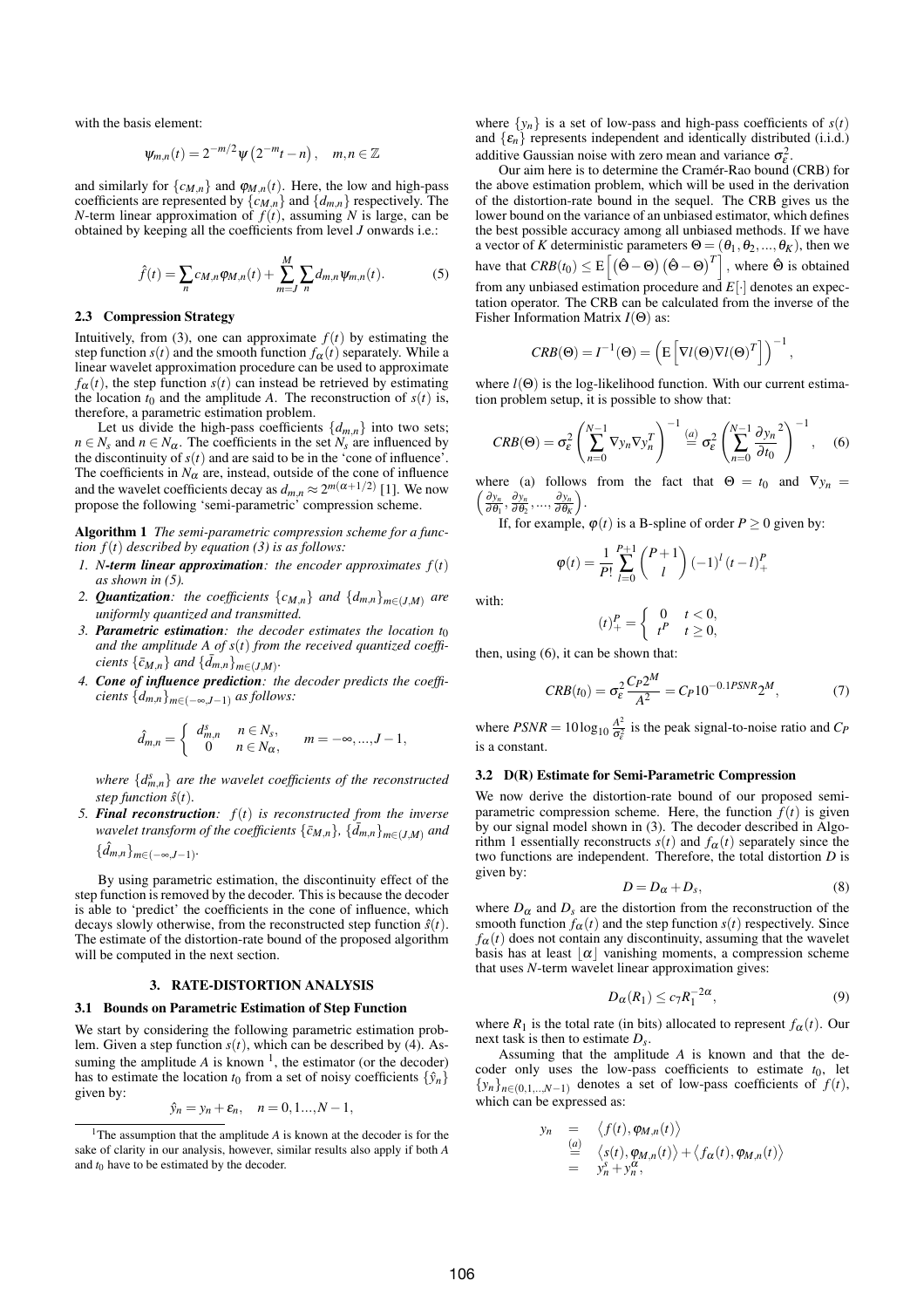with the basis element:

$$
\psi_{m,n}(t) = 2^{-m/2} \psi\left(2^{-m}t - n\right), \quad m, n \in \mathbb{Z}
$$

and similarly for  $\{c_{M,n}\}\$  and  $\varphi_{M,n}(t)$ . Here, the low and high-pass coefficients are represented by  $\{c_{M,n}\}\$  and  $\{d_{m,n}\}\$  respectively. The *N*-term linear approximation of  $f(t)$ , assuming *N* is large, can be obtained by keeping all the coefficients from level *J* onwards i.e.:

$$
\hat{f}(t) = \sum_{n} c_{M,n} \varphi_{M,n}(t) + \sum_{m=J}^{M} \sum_{n} d_{m,n} \psi_{m,n}(t).
$$
 (5)

### 2.3 Compression Strategy

Intuitively, from (3), one can approximate  $f(t)$  by estimating the step function  $s(t)$  and the smooth function  $f_\alpha(t)$  separately. While a linear wavelet approximation procedure can be used to approximate  $f_\alpha(t)$ , the step function  $s(t)$  can instead be retrieved by estimating the location  $t_0$  and the amplitude *A*. The reconstruction of  $s(t)$  is, therefore, a parametric estimation problem.

Let us divide the high-pass coefficients  $\{d_{m,n}\}\$  into two sets;  $n \in N_s$  and  $n \in N_\alpha$ . The coefficients in the set  $N_s$  are influenced by the discontinuity of  $s(t)$  and are said to be in the 'cone of influence'. The coefficients in  $N_{\alpha}$  are, instead, outside of the cone of influence and the wavelet coefficients decay as  $d_{m,n} \approx 2^{m(\alpha+1/2)}$  [1]. We now propose the following 'semi-parametric' compression scheme.

Algorithm 1 *The semi-parametric compression scheme for a function*  $f(t)$  *described by equation* (3) *is as follows:* 

- *1. N*-term linear approximation: the encoder approximates  $f(t)$ *as shown in (5).*
- 2. *Quantization:* the coefficients  $\{c_{M,n}\}$  *and*  $\{d_{m,n}\}_{m\in (J,M)}$  *are uniformly quantized and transmitted.*
- *3. Parametric estimation: the decoder estimates the location t*<sup>0</sup> *and the amplitude A of s*(*t*) *from the received quantized coefficients*  $\{\bar{c}_{M,n}\}$  *and*  $\{\bar{d}_{m,n}\}_{m\in (J,M)}$ .
- *4. Cone of influence prediction: the decoder predicts the coefficients* {*dm*,*n*}*m*∈(−∞,*J*−1) *as follows:*

$$
\hat{d}_{m,n} = \begin{cases} d_{m,n}^s & n \in N_s, \\ 0 & n \in N_\alpha, \end{cases} \quad m = -\infty, ..., J-1,
$$

where  $\{d_{m,n}^s\}$  are the wavelet coefficients of the reconstructed *step function*  $\hat{s}(t)$ *.* 

*5. Final reconstruction: f*(*t*) *is reconstructed from the inverse wavelet transform of the coefficients*  $\{\bar{c}_{M,n}\}$ *,*  $\{\bar{d}_{m,n}\}_{m\in (J,M)}$  *and*  $\{\hat{d}_{m,n}\}_{m \in (-\infty, J-1)}$ .

By using parametric estimation, the discontinuity effect of the step function is removed by the decoder. This is because the decoder is able to 'predict' the coefficients in the cone of influence, which decays slowly otherwise, from the reconstructed step function  $\hat{s}(t)$ . The estimate of the distortion-rate bound of the proposed algorithm will be computed in the next section.

## 3. RATE-DISTORTION ANALYSIS

## 3.1 Bounds on Parametric Estimation of Step Function

We start by considering the following parametric estimation problem. Given a step function *s*(*t*), which can be described by (4). Assuming the amplitude  $A$  is known<sup>1</sup>, the estimator (or the decoder) has to estimate the location  $t_0$  from a set of noisy coefficients  $\{\hat{y}_n\}$ given by:

$$
\hat{y}_n = y_n + \varepsilon_n, \quad n = 0, 1, \ldots, N - 1,
$$

where  $\{y_n\}$  is a set of low-pass and high-pass coefficients of  $s(t)$ and  $\{\varepsilon_n\}$  represents independent and identically distributed (i.i.d.) additive Gaussian noise with zero mean and variance  $\sigma_{\epsilon}^2$ .

Our aim here is to determine the Cramer-Rao bound (CRB) for ´ the above estimation problem, which will be used in the derivation of the distortion-rate bound in the sequel. The CRB gives us the lower bound on the variance of an unbiased estimator, which defines the best possible accuracy among all unbiased methods. If we have a vector of *K* deterministic parameters  $\Theta = (\theta_1, \theta_2, ..., \theta_K)$ , then we have that  $CRB(t_0) \leq E$ suc parameters  $\mathbf{\Theta} = (\mathbf{\Theta}_1, \mathbf{\Theta}_2, ..., \mathbf{\Theta}_K)$ , then we<br> $[(\hat{\mathbf{\Theta}} - \mathbf{\Theta}) (\hat{\mathbf{\Theta}} - \mathbf{\Theta})^T]$ , where  $\hat{\mathbf{\Theta}}$  is obtained from any unbiased estimation procedure and *E*[·] denotes an expectation operator. The CRB can be calculated from the inverse of the Fisher Information Matrix *I*(Θ) as:

$$
CRB(\Theta) = I^{-1}(\Theta) = \left( \mathbb{E}\left[ \nabla l(\Theta) \nabla l(\Theta)^T \right] \right)^{-1},
$$

where  $l(\Theta)$  is the log-likelihood function. With our current estimation problem setup, it is possible to show that:

$$
CRB(\Theta) = \sigma_{\varepsilon}^2 \left( \sum_{n=0}^{N-1} \nabla y_n \nabla y_n^T \right)^{-1} \stackrel{(a)}{=} \sigma_{\varepsilon}^2 \left( \sum_{n=0}^{N-1} \frac{\partial y_n}{\partial t_0}^2 \right)^{-1}, \quad (6)
$$

where (a) follows from the fact that  $\Theta = t_0$  and  $\nabla y_n =$  $\frac{\partial y_n}{\partial \theta_1}, \frac{\partial y_n}{\partial \theta_2}, ..., \frac{\partial y_n}{\partial \theta_K}$ .

If, for example,  $\varphi(t)$  is a B-spline of order  $P \ge 0$  given by:

$$
\varphi(t) = \frac{1}{P!} \sum_{l=0}^{P+1} {P+1 \choose l} (-1)^l (t-l)_+^P
$$

with:

$$
(t)+P = \begin{cases} 0 & t < 0, \\ tP & t \ge 0, \end{cases}
$$

then, using (6), it can be shown that:

$$
CRB(t_0) = \sigma_\varepsilon^2 \frac{C_P 2^M}{A^2} = C_P 10^{-0.1PSNR} 2^M,
$$
 (7)

where  $PSNR = 10\log_{10} \frac{A^2}{\sigma_{\epsilon}^2}$  is the peak signal-to-noise ratio and  $C_P$ is a constant.

#### 3.2 D(R) Estimate for Semi-Parametric Compression

We now derive the distortion-rate bound of our proposed semiparametric compression scheme. Here, the function  $\hat{f}(t)$  is given by our signal model shown in (3). The decoder described in Algorithm 1 essentially reconstructs  $s(t)$  and  $f_\alpha(t)$  separately since the two functions are independent. Therefore, the total distortion *D* is given by:

$$
D = D_{\alpha} + D_s, \tag{8}
$$

where  $D_{\alpha}$  and  $D_{\beta}$  are the distortion from the reconstruction of the smooth function  $f_{\alpha}(t)$  and the step function  $s(t)$  respectively. Since  $f_{\alpha}(t)$  does not contain any discontinuity, assuming that the wavelet basis has at least  $|\alpha|$  vanishing moments, a compression scheme that uses *N*-term wavelet linear approximation gives:

$$
D_{\alpha}(R_1) \le c_7 R_1^{-2\alpha},\tag{9}
$$

where  $R_1$  is the total rate (in bits) allocated to represent  $f_\alpha(t)$ . Our next task is then to estimate *Ds*.

Assuming that the amplitude *A* is known and that the decoder only uses the low-pass coefficients to estimate  $t_0$ , let  ${x_n}_{n \in (0,1,...,N-1)}$  denotes a set of low-pass coefficients of  $f(t)$ , which can be expressed as:

$$
n = \langle f(t), \varphi_{M,n}(t) \rangle
$$
  
\n
$$
\stackrel{(a)}{=} \langle s(t), \varphi_{M,n}(t) \rangle + \langle f_{\alpha}(t), \varphi_{M,n}(t) \rangle
$$
  
\n
$$
= y_n^{\delta} + y_n^{\alpha},
$$

*yn* =

<sup>&</sup>lt;sup>1</sup>The assumption that the amplitude *A* is known at the decoder is for the sake of clarity in our analysis, however, similar results also apply if both *A* and  $t_0$  have to be estimated by the decoder.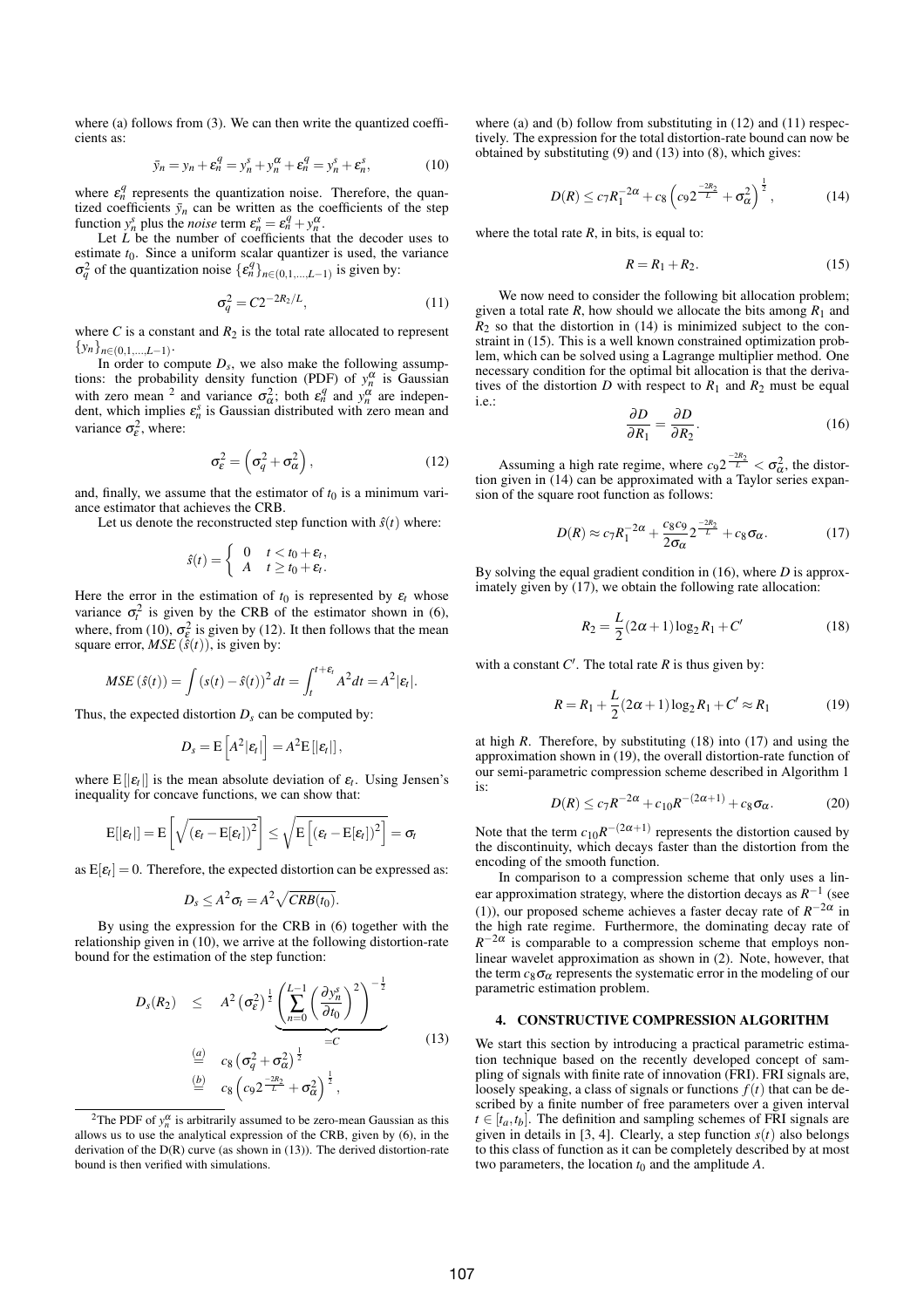where (a) follows from (3). We can then write the quantized coefficients as:

$$
\bar{y}_n = y_n + \varepsilon_n^q = y_n^s + y_n^\alpha + \varepsilon_n^q = y_n^s + \varepsilon_n^s,
$$
 (10)

where  $\varepsilon_n^q$  represents the quantization noise. Therefore, the quantized coefficients  $\bar{y}_n$  can be written as the coefficients of the step function  $y_n^s$  plus the *noise* term  $\varepsilon_n^s = \varepsilon_n^q + y_n^{\alpha}$ .

Let *L* be the number of coefficients that the decoder uses to estimate  $t_0$ . Since a uniform scalar quantizer is used, the variance  $\sigma_q^2$  of the quantization noise  $\{\epsilon_n^q\}_{n \in (0,1,\dots,L-1)}$  is given by:

$$
\sigma_q^2 = C 2^{-2R_2/L},\tag{11}
$$

where *C* is a constant and  $R_2$  is the total rate allocated to represent  $\{y_n\}_{n\in(0,1,\ldots,L-1)}$ .

In order to compute  $D_s$ , we also make the following assumptions: the probability density function (PDF) of  $y_n^{\alpha}$  is Gaussian with zero mean <sup>2</sup> and variance  $\sigma_{\alpha}^2$ ; both  $\varepsilon_n^q$  and  $y_n^{\alpha}$  are independent, which implies  $\varepsilon_n^s$  is Gaussian distributed with zero mean and variance  $\sigma_{\varepsilon}^2$ , where:

$$
\sigma_{\varepsilon}^2 = \left(\sigma_q^2 + \sigma_\alpha^2\right),\tag{12}
$$

and, finally, we assume that the estimator of  $t_0$  is a minimum variance estimator that achieves the CRB.

Let us denote the reconstructed step function with  $\hat{s}(t)$  where:

$$
\hat{s}(t) = \begin{cases} 0 & t < t_0 + \varepsilon_t, \\ A & t \ge t_0 + \varepsilon_t. \end{cases}
$$

Here the error in the estimation of  $t_0$  is represented by  $\varepsilon_t$  whose variance  $\sigma_t^2$  is given by the CRB of the estimator shown in (6), where, from (10),  $\sigma_{\varepsilon}^2$  is given by (12). It then follows that the mean square error,  $MSE(\hat{s}(t))$ , is given by:

$$
MSE\left(\hat{s}(t)\right) = \int \left(s(t) - \hat{s}(t)\right)^2 dt = \int_t^{t+\varepsilon_t} A^2 dt = A^2 |\varepsilon_t|.
$$

Thus, the expected distortion  $D_s$  can be computed by:

$$
D_s = \mathrm{E}\left[A^2 |\varepsilon_t|\right] = A^2 \mathrm{E}\left[|\varepsilon_t|\right],
$$

where  $E[|\varepsilon_t|]$  is the mean absolute deviation of  $\varepsilon_t$ . Using Jensen's inequality for concave functions, we can show that:

$$
\mathrm{E}[|\varepsilon_t|] = \mathrm{E}\left[\sqrt{(\varepsilon_t - \mathrm{E}[\varepsilon_t])^2}\right] \leq \sqrt{\mathrm{E}\left[(\varepsilon_t - \mathrm{E}[\varepsilon_t])^2\right]} = \sigma_t
$$

as  $E[\epsilon_t] = 0$ . Therefore, the expected distortion can be expressed as:

$$
D_s \leq A^2 \sigma_t = A^2 \sqrt{CRB(t_0)}.
$$

By using the expression for the CRB in (6) together with the relationship given in (10), we arrive at the following distortion-rate bound for the estimation of the step function:

$$
D_{s}(R_{2}) \leq A^{2} (\sigma_{\varepsilon}^{2})^{\frac{1}{2}} \underbrace{\left(\sum_{n=0}^{L-1} \left(\frac{\partial y_{n}^{s}}{\partial t_{0}}\right)^{2}\right)^{-\frac{1}{2}}}_{=C}
$$
\n
$$
\stackrel{\underset{(a)}{=}}{=} c_{8} (\sigma_{q}^{2} + \sigma_{\alpha}^{2})^{\frac{1}{2}}
$$
\n
$$
\stackrel{\underset{(b)}{=}}{=} c_{8} \left(c_{9} 2^{\frac{-2R_{2}}{L}} + \sigma_{\alpha}^{2}\right)^{\frac{1}{2}},
$$
\n
$$
(13)
$$

where (a) and (b) follow from substituting in (12) and (11) respectively. The expression for the total distortion-rate bound can now be obtained by substituting (9) and (13) into (8), which gives:

$$
D(R) \le c_7 R_1^{-2\alpha} + c_8 \left( c_9 2^{-\frac{2R_2}{L}} + \sigma_\alpha^2 \right)^{\frac{1}{2}}, \tag{14}
$$

where the total rate  $R$ , in bits, is equal to:

$$
R = R_1 + R_2. \tag{15}
$$

We now need to consider the following bit allocation problem; given a total rate  $R$ , how should we allocate the bits among  $R_1$  and  $R_2$  so that the distortion in (14) is minimized subject to the constraint in (15). This is a well known constrained optimization problem, which can be solved using a Lagrange multiplier method. One necessary condition for the optimal bit allocation is that the derivatives of the distortion *D* with respect to  $R_1$  and  $R_2$  must be equal i.e.:

$$
\frac{\partial D}{\partial R_1} = \frac{\partial D}{\partial R_2}.\tag{16}
$$

Assuming a high rate regime, where  $c_9 2^{\frac{-2R_2}{L}} < \sigma_{\alpha}^2$ , the distortion given in (14) can be approximated with a Taylor series expansion of the square root function as follows:

$$
D(R) \approx c_7 R_1^{-2\alpha} + \frac{c_8 c_9}{2\sigma_\alpha} 2^{\frac{-2R_2}{L}} + c_8 \sigma_\alpha.
$$
 (17)

By solving the equal gradient condition in (16), where *D* is approximately given by (17), we obtain the following rate allocation:

$$
R_2 = \frac{L}{2}(2\alpha + 1)\log_2 R_1 + C'
$$
 (18)

with a constant  $C'$ . The total rate  $R$  is thus given by:

$$
R = R_1 + \frac{L}{2}(2\alpha + 1)\log_2 R_1 + C' \approx R_1
$$
 (19)

at high *R*. Therefore, by substituting (18) into (17) and using the approximation shown in (19), the overall distortion-rate function of our semi-parametric compression scheme described in Algorithm 1 is:

$$
D(R) \le c_7 R^{-2\alpha} + c_{10} R^{-(2\alpha+1)} + c_8 \sigma_\alpha.
$$
 (20)

Note that the term  $c_{10}R^{-(2\alpha+1)}$  represents the distortion caused by the discontinuity, which decays faster than the distortion from the encoding of the smooth function.

In comparison to a compression scheme that only uses a linear approximation strategy, where the distortion decays as  $R^{-1}$  (see (1)), our proposed scheme achieves a faster decay rate of  $R^{-2\alpha}$  in the high rate regime. Furthermore, the dominating decay rate of  $R^{-2\alpha}$  is comparable to a compression scheme that employs nonlinear wavelet approximation as shown in (2). Note, however, that the term  $c_8\sigma_\alpha$  represents the systematic error in the modeling of our parametric estimation problem.

# 4. CONSTRUCTIVE COMPRESSION ALGORITHM

We start this section by introducing a practical parametric estimation technique based on the recently developed concept of sampling of signals with finite rate of innovation (FRI). FRI signals are, loosely speaking, a class of signals or functions  $f(t)$  that can be described by a finite number of free parameters over a given interval  $t \in [t_a, t_b]$ . The definition and sampling schemes of FRI signals are given in details in [3, 4]. Clearly, a step function *s*(*t*) also belongs to this class of function as it can be completely described by at most two parameters, the location  $t_0$  and the amplitude  $A$ .

<sup>&</sup>lt;sup>2</sup>The PDF of  $y_n^{\alpha}$  is arbitrarily assumed to be zero-mean Gaussian as this allows us to use the analytical expression of the CRB, given by (6), in the derivation of the D(R) curve (as shown in (13)). The derived distortion-rate bound is then verified with simulations.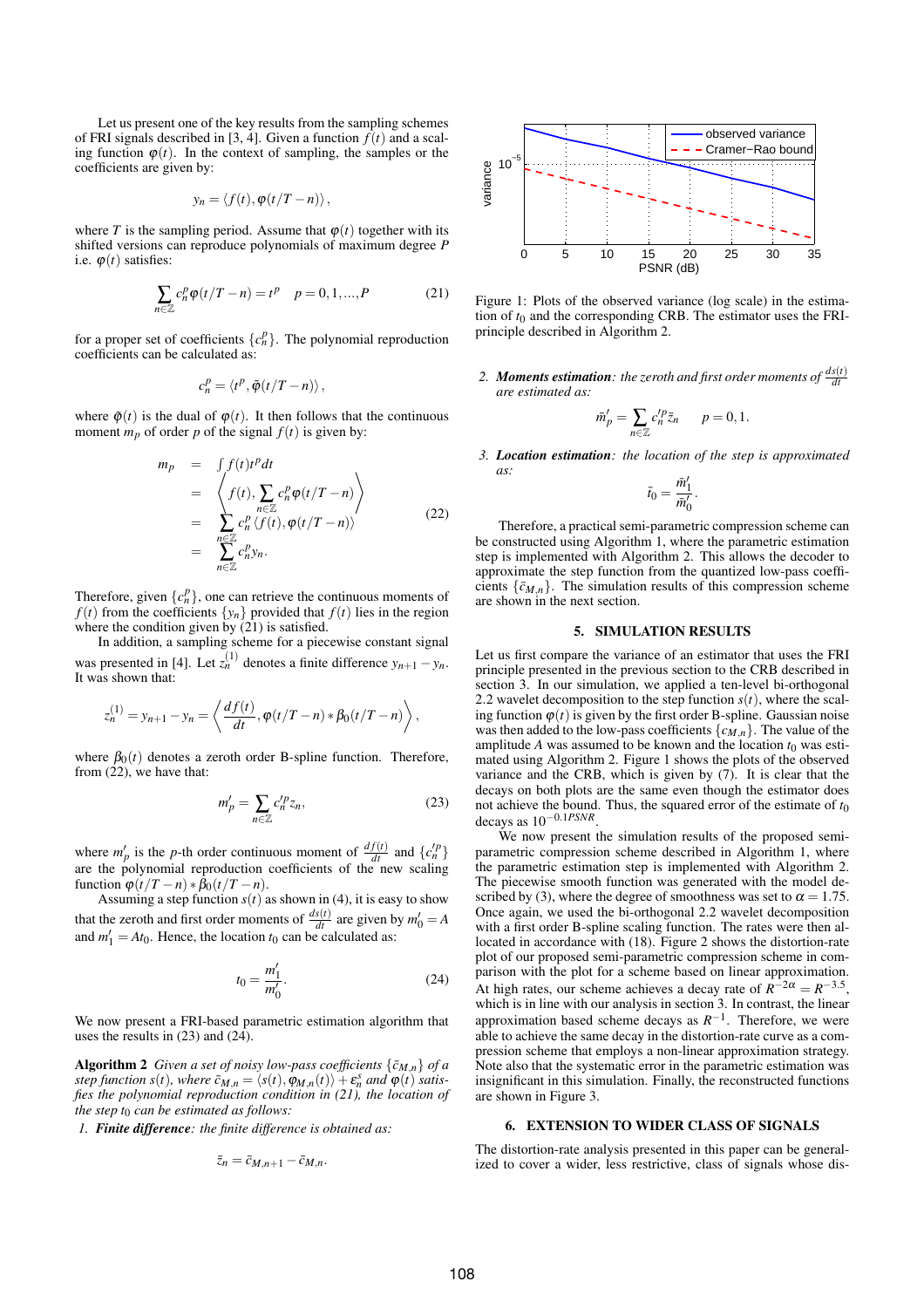Let us present one of the key results from the sampling schemes of FRI signals described in [3, 4]. Given a function  $f(t)$  and a scaling function  $\varphi(t)$ . In the context of sampling, the samples or the coefficients are given by:

$$
y_n = \langle f(t), \varphi(t/T - n) \rangle,
$$

where *T* is the sampling period. Assume that  $\varphi(t)$  together with its shifted versions can reproduce polynomials of maximum degree *P* i.e.  $\varphi(t)$  satisfies:

$$
\sum_{n \in \mathbb{Z}} c_n^p \varphi(t/T - n) = t^p \quad p = 0, 1, ..., P \tag{21}
$$

for a proper set of coefficients  $\{c_n^p\}$ . The polynomial reproduction coefficients can be calculated as:

$$
c_n^p = \langle t^p, \tilde{\varphi}(t/T - n) \rangle,
$$

where  $\tilde{\varphi}(t)$  is the dual of  $\varphi(t)$ . It then follows that the continuous moment  $m_p$  of order p of the signal  $f(t)$  is given by:

$$
m_p = \int f(t)t^p dt
$$
  
\n
$$
= \left\langle f(t), \sum_{n \in \mathbb{Z}} c_n^p \varphi(t/T - n) \right\rangle
$$
  
\n
$$
= \sum_{n \in \mathbb{Z}} c_n^p \left\langle f(t), \varphi(t/T - n) \right\rangle
$$
  
\n
$$
= \sum_{n \in \mathbb{Z}} c_n^p y_n.
$$
 (22)

Therefore, given  $\{c_n^p\}$ , one can retrieve the continuous moments of  $f(t)$  from the coefficients  $\{y_n\}$  provided that  $f(t)$  lies in the region where the condition given by (21) is satisfied.

In addition, a sampling scheme for a piecewise constant signal was presented in [4]. Let  $z_n^{(1)}$  denotes a finite difference  $y_{n+1} - y_n$ . It was shown that:

$$
z_n^{(1)} = y_{n+1} - y_n = \left\langle \frac{df(t)}{dt}, \varphi(t/T - n) * \beta_0(t/T - n) \right\rangle,
$$

where  $\beta_0(t)$  denotes a zeroth order B-spline function. Therefore, from  $(22)$ , we have that:

$$
m'_p = \sum_{n \in \mathbb{Z}} c_n^{\prime p} z_n,\tag{23}
$$

where  $m'_p$  is the *p*-th order continuous moment of  $\frac{df(t)}{dt}$  and  $\{c_n^{p}\}\$ are the polynomial reproduction coefficients of the new scaling function  $\varphi(t/T - n) * \bar{\beta}_0(t/T - n)$ .

Assuming a step function  $s(t)$  as shown in (4), it is easy to show that the zeroth and first order moments of  $\frac{ds(t)}{dt}$  are given by  $m'_0 = A$ and  $m'_1 = At_0$ . Hence, the location  $t_0$  can be calculated as:

$$
t_0 = \frac{m'_1}{m'_0}.\tag{24}
$$

We now present a FRI-based parametric estimation algorithm that uses the results in (23) and (24).

Algorithm 2 *Given a set of noisy low-pass coefficients*  $\{\bar{c}_{M,n}\}$  *of a step function s*(*t*)*, where*  $\bar{c}_{M,n} = \langle s(t), \varphi_{M,n}(t) \rangle + \varepsilon_n^s$  *and*  $\varphi(t)$  *satisfies the polynomial reproduction condition in (21), the location of the step t*<sup>0</sup> *can be estimated as follows:*

*1. Finite difference: the finite difference is obtained as:*

$$
\bar{z}_n = \bar{c}_{M,n+1} - \bar{c}_{M,n}.
$$



Figure 1: Plots of the observed variance (log scale) in the estimation of  $t_0$  and the corresponding CRB. The estimator uses the FRIprinciple described in Algorithm 2.

2. *Moments estimation: the zeroth and first order moments of*  $\frac{d s(t)}{dt}$ *are estimated as:*

$$
\bar{m}'_p = \sum_{n \in \mathbb{Z}} c'^p_n \bar{z}_n \qquad p = 0, 1.
$$

*3. Location estimation: the location of the step is approximated as:*

$$
\bar t_0=\frac{\bar m_1'}{\bar m_0'}.
$$

Therefore, a practical semi-parametric compression scheme can be constructed using Algorithm 1, where the parametric estimation step is implemented with Algorithm 2. This allows the decoder to approximate the step function from the quantized low-pass coefficients  $\{\bar{c}_{M,n}\}$ . The simulation results of this compression scheme are shown in the next section.

#### 5. SIMULATION RESULTS

Let us first compare the variance of an estimator that uses the FRI principle presented in the previous section to the CRB described in section 3. In our simulation, we applied a ten-level bi-orthogonal 2.2 wavelet decomposition to the step function  $s(t)$ , where the scaling function  $\varphi(t)$  is given by the first order B-spline. Gaussian noise was then added to the low-pass coefficients  $\{c_{M,n}\}$ . The value of the amplitude *A* was assumed to be known and the location  $t_0$  was estimated using Algorithm 2. Figure 1 shows the plots of the observed variance and the CRB, which is given by (7). It is clear that the decays on both plots are the same even though the estimator does not achieve the bound. Thus, the squared error of the estimate of *t*<sup>0</sup> decays as 10−0.1*PSNR* .

We now present the simulation results of the proposed semiparametric compression scheme described in Algorithm 1, where the parametric estimation step is implemented with Algorithm 2. The piecewise smooth function was generated with the model described by (3), where the degree of smoothness was set to  $\alpha = 1.75$ . Once again, we used the bi-orthogonal 2.2 wavelet decomposition with a first order B-spline scaling function. The rates were then allocated in accordance with (18). Figure 2 shows the distortion-rate plot of our proposed semi-parametric compression scheme in comparison with the plot for a scheme based on linear approximation. At high rates, our scheme achieves a decay rate of  $R^{-2\alpha} = R^{-3.5}$ , which is in line with our analysis in section 3. In contrast, the linear approximation based scheme decays as  $R^{-1}$ . Therefore, we were able to achieve the same decay in the distortion-rate curve as a compression scheme that employs a non-linear approximation strategy. Note also that the systematic error in the parametric estimation was insignificant in this simulation. Finally, the reconstructed functions are shown in Figure 3.

## 6. EXTENSION TO WIDER CLASS OF SIGNALS

The distortion-rate analysis presented in this paper can be generalized to cover a wider, less restrictive, class of signals whose dis-